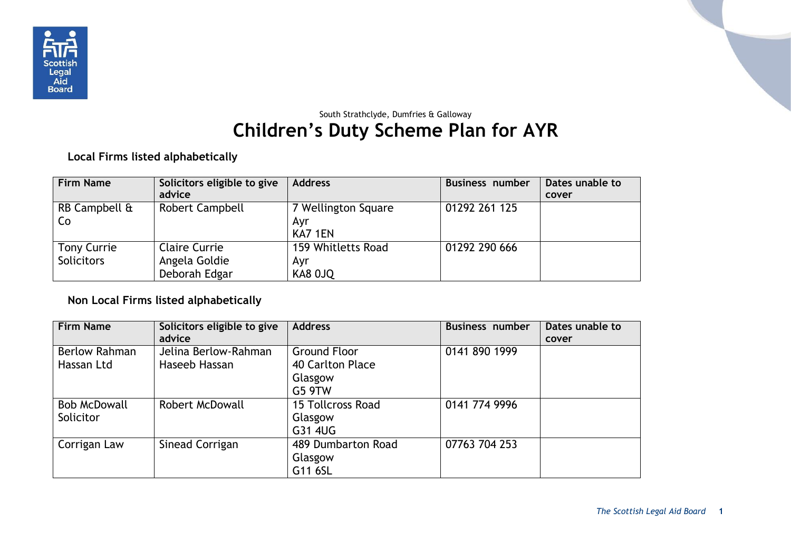

## South Strathclyde, Dumfries & Galloway **Children's Duty Scheme Plan for AYR**

**Local Firms listed alphabetically**

| <b>Firm Name</b>   | Solicitors eligible to give | <b>Address</b>      | Business number | Dates unable to |
|--------------------|-----------------------------|---------------------|-----------------|-----------------|
|                    | advice                      |                     |                 | cover           |
| RB Campbell &      | Robert Campbell             | 7 Wellington Square | 01292 261 125   |                 |
| Co                 |                             | Ayr                 |                 |                 |
|                    |                             | KA7 1EN             |                 |                 |
| <b>Tony Currie</b> | <b>Claire Currie</b>        | 159 Whitletts Road  | 01292 290 666   |                 |
| <b>Solicitors</b>  | Angela Goldie               | Ayr                 |                 |                 |
|                    | Deborah Edgar               | KA8 OJQ             |                 |                 |

## **Non Local Firms listed alphabetically**

| <b>Firm Name</b>     | Solicitors eligible to give<br>advice | <b>Address</b>           | <b>Business number</b> | Dates unable to<br>cover |
|----------------------|---------------------------------------|--------------------------|------------------------|--------------------------|
| <b>Berlow Rahman</b> | Jelina Berlow-Rahman                  | Ground Floor             | 0141 890 1999          |                          |
| Hassan Ltd           | Haseeb Hassan                         | 40 Carlton Place         |                        |                          |
|                      |                                       | Glasgow                  |                        |                          |
|                      |                                       | <b>G5 9TW</b>            |                        |                          |
| <b>Bob McDowall</b>  | Robert McDowall                       | <b>15 Tollcross Road</b> | 0141 774 9996          |                          |
| Solicitor            |                                       | Glasgow                  |                        |                          |
|                      |                                       | G31 4UG                  |                        |                          |
| Corrigan Law         | Sinead Corrigan                       | 489 Dumbarton Road       | 07763 704 253          |                          |
|                      |                                       | Glasgow                  |                        |                          |
|                      |                                       | G11 6SL                  |                        |                          |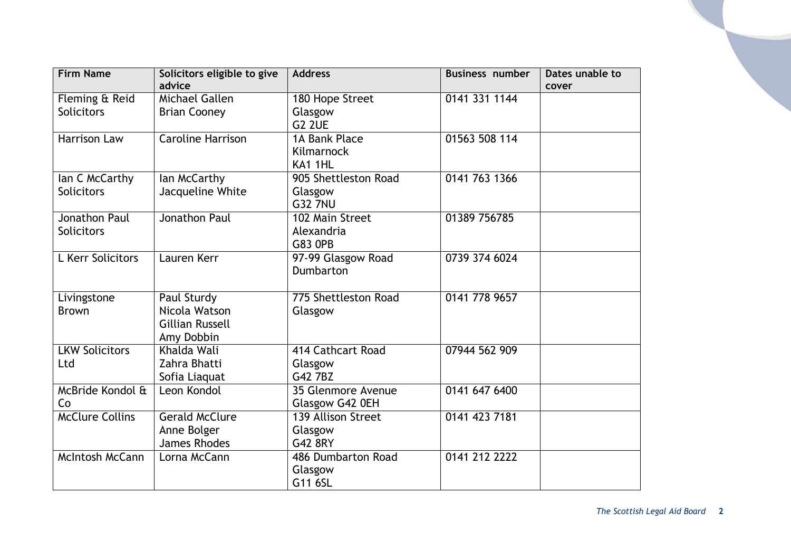| <b>Firm Name</b>                    | Solicitors eligible to give<br>advice                                | <b>Address</b>                                          | <b>Business number</b> | Dates unable to<br>cover |
|-------------------------------------|----------------------------------------------------------------------|---------------------------------------------------------|------------------------|--------------------------|
| Fleming & Reid<br><b>Solicitors</b> | Michael Gallen<br><b>Brian Cooney</b>                                | 180 Hope Street<br>Glasgow                              | 0141 331 1144          |                          |
| Harrison Law                        | <b>Caroline Harrison</b>                                             | <b>G2 2UE</b><br>1A Bank Place<br>Kilmarnock<br>KA1 1HL | 01563 508 114          |                          |
| lan C McCarthy<br>Solicitors        | lan McCarthy<br>Jacqueline White                                     | 905 Shettleston Road<br>Glasgow<br><b>G32 7NU</b>       | 0141 763 1366          |                          |
| Jonathon Paul<br><b>Solicitors</b>  | Jonathon Paul                                                        | 102 Main Street<br>Alexandria<br><b>G83 OPB</b>         | 01389 756785           |                          |
| L Kerr Solicitors                   | Lauren Kerr                                                          | 97-99 Glasgow Road<br>Dumbarton                         | 0739 374 6024          |                          |
| Livingstone<br><b>Brown</b>         | Paul Sturdy<br>Nicola Watson<br><b>Gillian Russell</b><br>Amy Dobbin | 775 Shettleston Road<br>Glasgow                         | 0141 778 9657          |                          |
| <b>LKW Solicitors</b><br>Ltd        | Khalda Wali<br>Zahra Bhatti<br>Sofia Liaquat                         | 414 Cathcart Road<br>Glasgow<br>G42 7BZ                 | 07944 562 909          |                          |
| McBride Kondol &<br>Co              | Leon Kondol                                                          | 35 Glenmore Avenue<br>Glasgow G42 0EH                   | 0141 647 6400          |                          |
| <b>McClure Collins</b>              | <b>Gerald McClure</b><br>Anne Bolger<br>James Rhodes                 | <b>139 Allison Street</b><br>Glasgow<br>G42 8RY         | 0141 423 7181          |                          |
| McIntosh McCann                     | Lorna McCann                                                         | 486 Dumbarton Road<br>Glasgow<br>G11 6SL                | 0141 212 2222          |                          |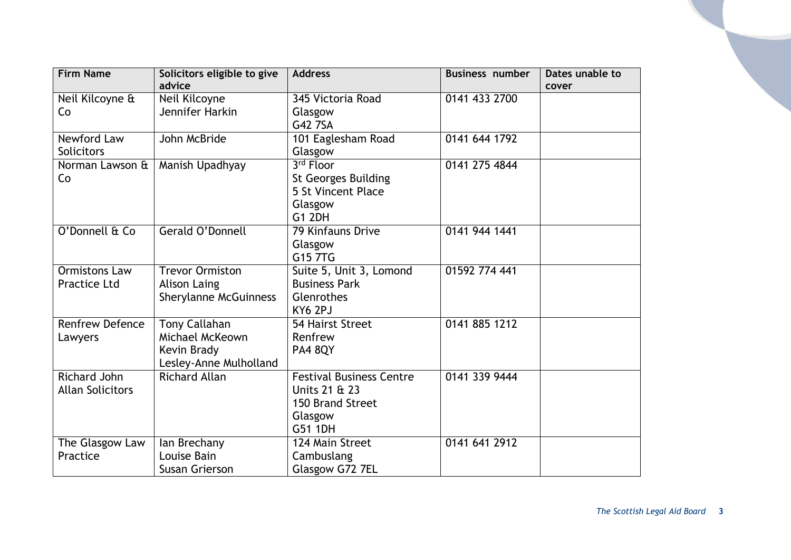| <b>Firm Name</b>                               | Solicitors eligible to give<br>advice                                            | <b>Address</b>                                                                             | <b>Business number</b> | Dates unable to<br>cover |
|------------------------------------------------|----------------------------------------------------------------------------------|--------------------------------------------------------------------------------------------|------------------------|--------------------------|
| Neil Kilcoyne &<br>Co                          | Neil Kilcoyne<br>Jennifer Harkin                                                 | 345 Victoria Road<br>Glasgow<br>G42 7SA                                                    | 0141 433 2700          |                          |
| Newford Law<br><b>Solicitors</b>               | John McBride                                                                     | 101 Eaglesham Road<br>Glasgow                                                              | 0141 644 1792          |                          |
| Norman Lawson &<br>Co                          | Manish Upadhyay                                                                  | 3rd Floor<br><b>St Georges Building</b><br>5 St Vincent Place<br>Glasgow<br><b>G1 2DH</b>  | 0141 275 4844          |                          |
| O'Donnell & Co                                 | Gerald O'Donnell                                                                 | <b>79 Kinfauns Drive</b><br>Glasgow<br>G15 7TG                                             | 0141 944 1441          |                          |
| <b>Ormistons Law</b><br><b>Practice Ltd</b>    | <b>Trevor Ormiston</b><br><b>Alison Laing</b><br><b>Sherylanne McGuinness</b>    | Suite 5, Unit 3, Lomond<br><b>Business Park</b><br>Glenrothes<br>KY6 2PJ                   | 01592 774 441          |                          |
| <b>Renfrew Defence</b><br>Lawyers              | <b>Tony Callahan</b><br>Michael McKeown<br>Kevin Brady<br>Lesley-Anne Mulholland | 54 Hairst Street<br>Renfrew<br><b>PA4 8QY</b>                                              | 0141 885 1212          |                          |
| <b>Richard John</b><br><b>Allan Solicitors</b> | <b>Richard Allan</b>                                                             | <b>Festival Business Centre</b><br>Units 21 & 23<br>150 Brand Street<br>Glasgow<br>G51 1DH | 0141 339 9444          |                          |
| The Glasgow Law<br>Practice                    | lan Brechany<br>Louise Bain<br>Susan Grierson                                    | 124 Main Street<br>Cambuslang<br>Glasgow G72 7EL                                           | 0141 641 2912          |                          |